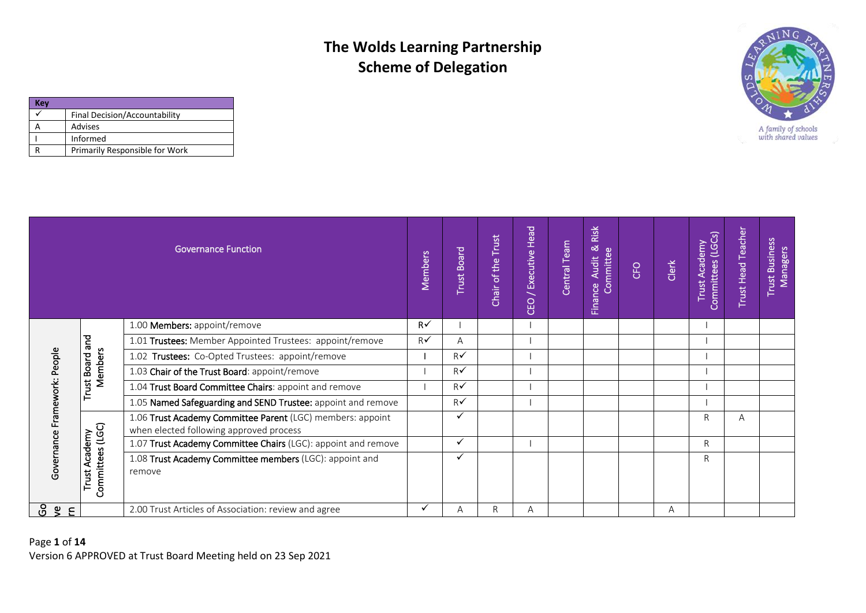| (ev |                                |
|-----|--------------------------------|
|     | Final Decision/Accountability  |
|     | Advises                        |
|     | Informed                       |
|     | Primarily Responsible for Work |



|                              |                                | <b>Governance Function</b>                                                                            | Members       | <b>Trust Board</b> | Trust<br>Chair of the | / Executive Head<br>CEO | Central Team | Risk<br>ಹ<br>Committee<br><b>Audit</b><br>Finance | <b>CFO</b> | Clerk | Trust Academy<br>Committees (LGCs) | <b>Trust Head Teacher</b> | <b>Trust Business</b><br>Managers |
|------------------------------|--------------------------------|-------------------------------------------------------------------------------------------------------|---------------|--------------------|-----------------------|-------------------------|--------------|---------------------------------------------------|------------|-------|------------------------------------|---------------------------|-----------------------------------|
|                              |                                | 1.00 Members: appoint/remove                                                                          | $R\checkmark$ |                    |                       |                         |              |                                                   |            |       |                                    |                           |                                   |
|                              | and                            | 1.01 Trustees: Member Appointed Trustees: appoint/remove                                              | $R\checkmark$ | A                  |                       |                         |              |                                                   |            |       |                                    |                           |                                   |
|                              | ple                            | 1.02 Trustees: Co-Opted Trustees: appoint/remove                                                      |               | $R\checkmark$      |                       |                         |              |                                                   |            |       |                                    |                           |                                   |
|                              | Members<br>ã                   | 1.03 Chair of the Trust Board: appoint/remove                                                         |               | $R\checkmark$      |                       |                         |              |                                                   |            |       |                                    |                           |                                   |
|                              | rust                           | 1.04 Trust Board Committee Chairs: appoint and remove                                                 |               | $R\checkmark$      |                       |                         |              |                                                   |            |       |                                    |                           |                                   |
|                              |                                | 1.05 Named Safeguarding and SEND Trustee: appoint and remove                                          |               | $R\checkmark$      |                       |                         |              |                                                   |            |       |                                    |                           |                                   |
|                              |                                | 1.06 Trust Academy Committee Parent (LGC) members: appoint<br>when elected following approved process |               |                    |                       |                         |              |                                                   |            |       | R.                                 | A                         |                                   |
|                              | cademy                         | 1.07 Trust Academy Committee Chairs (LGC): appoint and remove                                         |               | $\checkmark$       |                       |                         |              |                                                   |            |       | R.                                 |                           |                                   |
| Governance Framework: People | Committees (LGC)<br>⋖<br>Trust | 1.08 Trust Academy Committee members (LGC): appoint and<br>remove                                     |               |                    |                       |                         |              |                                                   |            |       | R                                  |                           |                                   |
| යි<br>$\mathbf{g}$<br>E      |                                | 2.00 Trust Articles of Association: review and agree                                                  | ✓             | Α                  | R                     | Α                       |              |                                                   |            | A     |                                    |                           |                                   |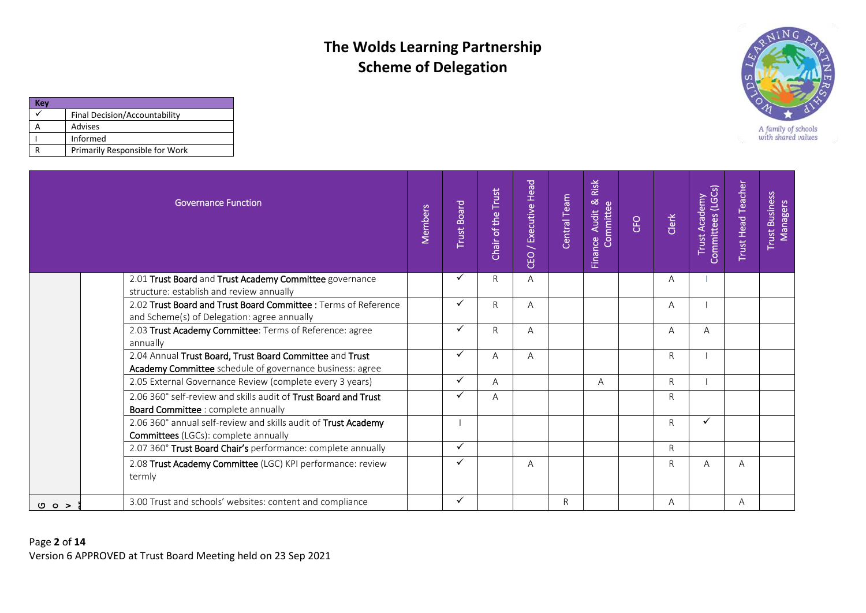

| Kev |                                |
|-----|--------------------------------|
|     | Final Decision/Accountability  |
|     | Advises                        |
|     | Informed                       |
|     | Primarily Responsible for Work |

|      | <b>Governance Function</b>                                                                                           | Members | <b>Trust Board</b> | Chair of the Trust | Head<br>/ Executive<br>CEO | Central Team | Risk<br>Finance Audit & R<br>Committee | CFO | Clerk | Committees (LGCs)<br>Trust Academy | <b>Trust Head Teacher</b> | <b>Trust Business</b><br>Managers |
|------|----------------------------------------------------------------------------------------------------------------------|---------|--------------------|--------------------|----------------------------|--------------|----------------------------------------|-----|-------|------------------------------------|---------------------------|-----------------------------------|
|      | 2.01 Trust Board and Trust Academy Committee governance<br>structure: establish and review annually                  |         |                    | R                  | A                          |              |                                        |     | Α     |                                    |                           |                                   |
|      | 2.02 Trust Board and Trust Board Committee : Terms of Reference<br>and Scheme(s) of Delegation: agree annually       |         |                    | R                  | A                          |              |                                        |     | A     |                                    |                           |                                   |
|      | 2.03 Trust Academy Committee: Terms of Reference: agree<br>annually                                                  |         | $\checkmark$       | R                  | A                          |              |                                        |     | A     | A                                  |                           |                                   |
|      | 2.04 Annual Trust Board, Trust Board Committee and Trust<br>Academy Committee schedule of governance business: agree |         | ✓                  | A                  | $\overline{A}$             |              |                                        |     | R     |                                    |                           |                                   |
|      | 2.05 External Governance Review (complete every 3 years)                                                             |         |                    | A                  |                            |              | A                                      |     | R     |                                    |                           |                                   |
|      | 2.06 360° self-review and skills audit of Trust Board and Trust<br>Board Committee : complete annually               |         |                    | А                  |                            |              |                                        |     | R     |                                    |                           |                                   |
|      | 2.06 360° annual self-review and skills audit of Trust Academy<br><b>Committees</b> (LGCs): complete annually        |         |                    |                    |                            |              |                                        |     | R     | ✓                                  |                           |                                   |
|      | 2.07 360° Trust Board Chair's performance: complete annually                                                         |         | ✓                  |                    |                            |              |                                        |     | R     |                                    |                           |                                   |
|      | 2.08 Trust Academy Committee (LGC) KPI performance: review<br>termly                                                 |         | ✓                  |                    | A                          |              |                                        |     | R     | A                                  | A                         |                                   |
| 00 > | 3.00 Trust and schools' websites: content and compliance                                                             |         |                    |                    |                            | R            |                                        |     | Α     |                                    | A                         |                                   |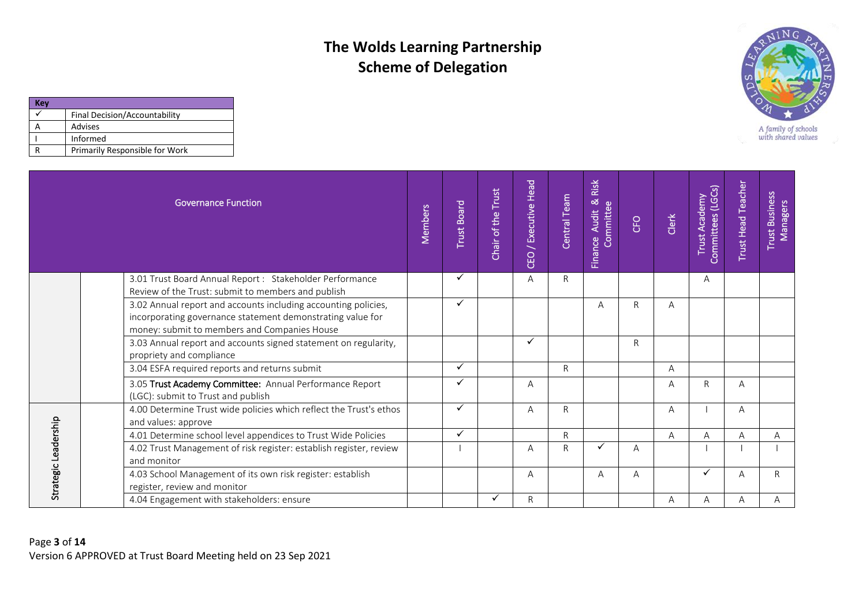

| Kev |                                |
|-----|--------------------------------|
|     | Final Decision/Accountability  |
|     | Advises                        |
|     | Informed                       |
|     | Primarily Responsible for Work |

|                      | <b>Governance Function</b>                                                                                                                                                   | Members | <b>Trust Board</b> | Chair of the Trust | Head<br>/ Executive<br>CEO | Central Team | Risk<br>Finance Audit & F | CFO | Clerk | Committees (LGCs)<br>Trust Academy | <b>Trust Head Teacher</b> | <b>Trust Business</b><br>Managers |
|----------------------|------------------------------------------------------------------------------------------------------------------------------------------------------------------------------|---------|--------------------|--------------------|----------------------------|--------------|---------------------------|-----|-------|------------------------------------|---------------------------|-----------------------------------|
|                      | 3.01 Trust Board Annual Report : Stakeholder Performance<br>Review of the Trust: submit to members and publish                                                               |         | ✓                  |                    | A                          | $\mathsf{R}$ |                           |     |       | A                                  |                           |                                   |
|                      | 3.02 Annual report and accounts including accounting policies,<br>incorporating governance statement demonstrating value for<br>money: submit to members and Companies House |         | ✓                  |                    |                            |              | A                         | R   | A     |                                    |                           |                                   |
|                      | 3.03 Annual report and accounts signed statement on regularity,<br>propriety and compliance                                                                                  |         |                    |                    | ✓                          |              |                           | R   |       |                                    |                           |                                   |
|                      | 3.04 ESFA required reports and returns submit                                                                                                                                |         | ✓                  |                    |                            | $\mathsf{R}$ |                           |     | A     |                                    |                           |                                   |
|                      | 3.05 Trust Academy Committee: Annual Performance Report<br>(LGC): submit to Trust and publish                                                                                |         |                    |                    | A                          |              |                           |     | A     | R                                  | A                         |                                   |
|                      | 4.00 Determine Trust wide policies which reflect the Trust's ethos<br>and values: approve                                                                                    |         | ✓                  |                    | A                          | ${\sf R}$    |                           |     | A     |                                    | A                         |                                   |
|                      | 4.01 Determine school level appendices to Trust Wide Policies                                                                                                                |         | ✓                  |                    |                            | $\mathsf{R}$ |                           |     | A     | A                                  | A                         | A                                 |
| Strategic Leadership | 4.02 Trust Management of risk register: establish register, review<br>and monitor                                                                                            |         |                    |                    | A                          | $\mathsf{R}$ |                           | Α   |       |                                    |                           |                                   |
|                      | 4.03 School Management of its own risk register: establish<br>register, review and monitor                                                                                   |         |                    |                    | A                          |              | A                         | A   |       | ✓                                  | A                         | R                                 |
|                      | 4.04 Engagement with stakeholders: ensure                                                                                                                                    |         |                    |                    | $\mathsf{R}$               |              |                           |     | A     | Α                                  | Α                         | Α                                 |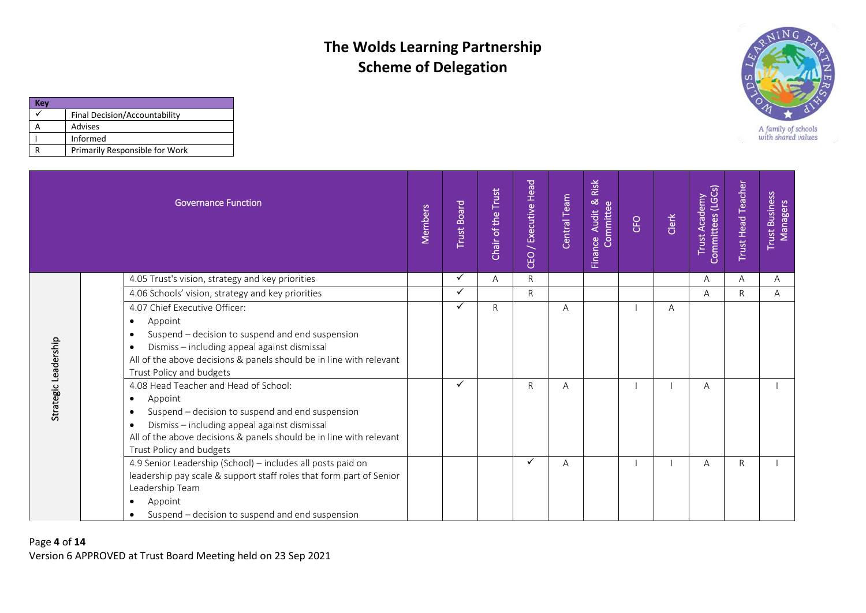

| ίeν |                                |
|-----|--------------------------------|
|     | Final Decision/Accountability  |
|     | Advises                        |
|     | Informed                       |
|     | Primarily Responsible for Work |

|                      | <b>Governance Function</b>                                                                                                                                                                                                                                                                     | Members | <b>Trust Board</b> | Trust<br>Chair of the | CEO / Executive Head | Central Team | Risk<br>nce Audit &<br>Finance | <b>CFO</b> | Clerk | Trust Academy<br>Committees (LGCs) | <b>Trust Head Teacher</b> | <b>Trust Business</b><br>Managers |
|----------------------|------------------------------------------------------------------------------------------------------------------------------------------------------------------------------------------------------------------------------------------------------------------------------------------------|---------|--------------------|-----------------------|----------------------|--------------|--------------------------------|------------|-------|------------------------------------|---------------------------|-----------------------------------|
| Strategic Leadership | 4.05 Trust's vision, strategy and key priorities                                                                                                                                                                                                                                               |         | ✓                  | Α                     | $\mathsf{R}$         |              |                                |            |       | A                                  | A                         | Α                                 |
|                      | 4.06 Schools' vision, strategy and key priorities                                                                                                                                                                                                                                              |         | ✓                  |                       | $\mathsf{R}$         |              |                                |            |       | A                                  | R                         | A                                 |
|                      | 4.07 Chief Executive Officer:<br>Appoint<br>$\bullet$<br>Suspend - decision to suspend and end suspension<br>$\bullet$<br>Dismiss - including appeal against dismissal<br>$\bullet$<br>All of the above decisions & panels should be in line with relevant<br>Trust Policy and budgets         |         |                    | R                     |                      | Α            |                                |            | A     |                                    |                           |                                   |
|                      | 4.08 Head Teacher and Head of School:<br>Appoint<br>$\bullet$<br>Suspend - decision to suspend and end suspension<br>$\bullet$<br>Dismiss - including appeal against dismissal<br>$\bullet$<br>All of the above decisions & panels should be in line with relevant<br>Trust Policy and budgets |         | ✓                  |                       | R                    | A            |                                |            |       | A                                  |                           |                                   |
|                      | 4.9 Senior Leadership (School) - includes all posts paid on<br>leadership pay scale & support staff roles that form part of Senior<br>Leadership Team<br>Appoint<br>٠<br>Suspend – decision to suspend and end suspension<br>$\bullet$                                                         |         |                    |                       | $\checkmark$         | A            |                                |            |       | A                                  | $\mathsf{R}$              |                                   |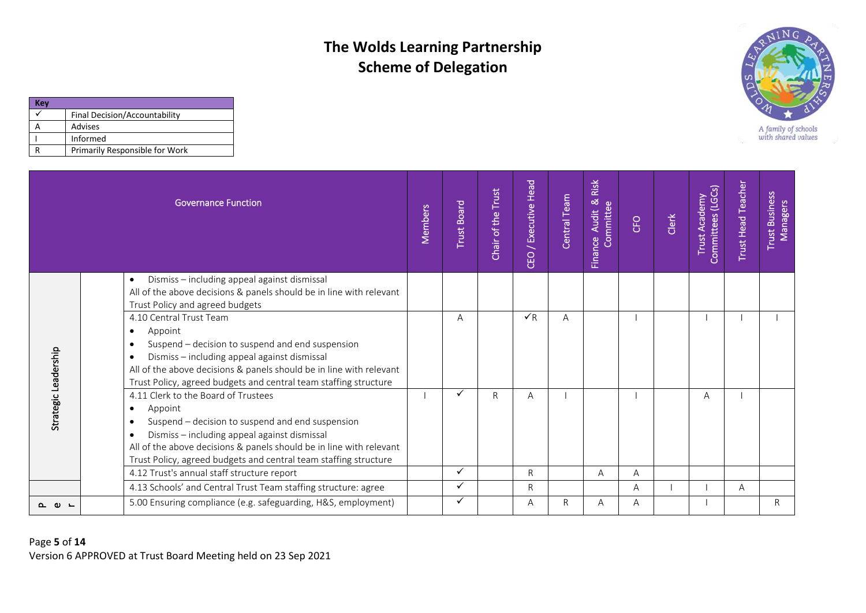

| (ev |                                |
|-----|--------------------------------|
|     | Final Decision/Accountability  |
|     | Advises                        |
|     | Informed                       |
|     | Primarily Responsible for Work |

| <b>Governance Function</b> |                                                                                                                                                                                                                                                                                                                                      | Members | <b>Trust Board</b> | Chair of the Trust | Head<br>/ Executive<br>CEO | Central Team | Risk<br>Finance Audit & R<br>Committee | CFO | Clerk | Committees (LGCs)<br><b>Trust Academy</b> | <b>Trust Head Teacher</b> | <b>Trust Business</b><br><b>Managers</b> |
|----------------------------|--------------------------------------------------------------------------------------------------------------------------------------------------------------------------------------------------------------------------------------------------------------------------------------------------------------------------------------|---------|--------------------|--------------------|----------------------------|--------------|----------------------------------------|-----|-------|-------------------------------------------|---------------------------|------------------------------------------|
| Strategic Leadership       | Dismiss - including appeal against dismissal<br>$\bullet$<br>All of the above decisions & panels should be in line with relevant<br>Trust Policy and agreed budgets                                                                                                                                                                  |         |                    |                    |                            |              |                                        |     |       |                                           |                           |                                          |
|                            | 4.10 Central Trust Team<br>Appoint<br>$\bullet$<br>Suspend - decision to suspend and end suspension<br>$\bullet$<br>Dismiss - including appeal against dismissal<br>$\bullet$<br>All of the above decisions & panels should be in line with relevant<br>Trust Policy, agreed budgets and central team staffing structure             |         | A                  |                    | $\sqrt{R}$                 | A            |                                        |     |       |                                           |                           |                                          |
|                            | 4.11 Clerk to the Board of Trustees<br>Appoint<br>$\bullet$<br>Suspend - decision to suspend and end suspension<br>$\bullet$<br>Dismiss - including appeal against dismissal<br>$\bullet$<br>All of the above decisions & panels should be in line with relevant<br>Trust Policy, agreed budgets and central team staffing structure |         |                    | $\mathsf{R}$       | $\overline{A}$             |              |                                        |     |       | A                                         |                           |                                          |
|                            | 4.12 Trust's annual staff structure report                                                                                                                                                                                                                                                                                           |         | ✓                  |                    | $\mathsf{R}$               |              | A                                      | A   |       |                                           |                           |                                          |
|                            | 4.13 Schools' and Central Trust Team staffing structure: agree                                                                                                                                                                                                                                                                       |         |                    |                    | R                          |              |                                        | A   |       |                                           | A                         |                                          |
| െ ∟                        | 5.00 Ensuring compliance (e.g. safeguarding, H&S, employment)                                                                                                                                                                                                                                                                        |         | ✓                  |                    | A                          | $\mathsf{R}$ | A                                      | A   |       |                                           |                           | $\mathsf{R}$                             |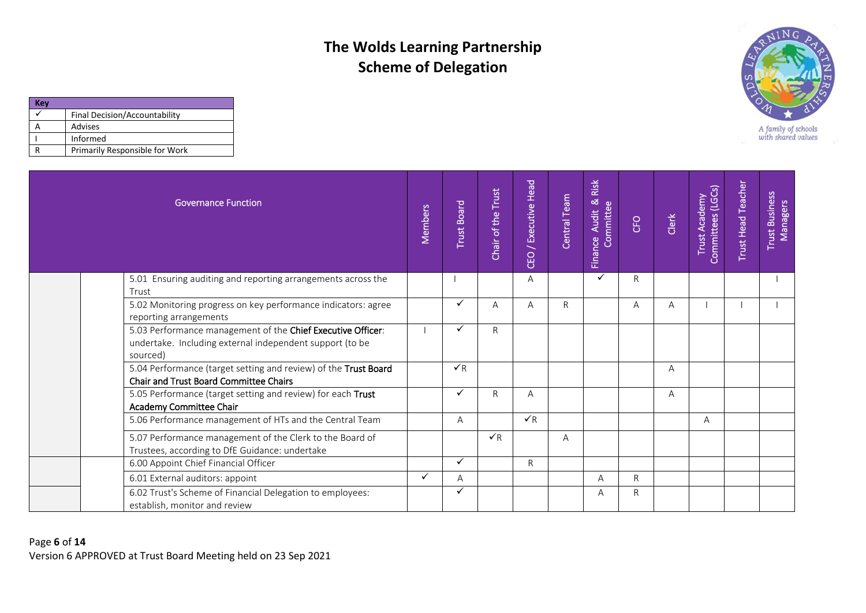

| Kev |                                |
|-----|--------------------------------|
|     | Final Decision/Accountability  |
|     | Advises                        |
|     | Informed                       |
|     | Primarily Responsible for Work |

| <b>Governance Function</b>                                                                                                          | Members | <b>Trust Board</b> | Chair of the Trust | / Executive Head<br>CEO | Central Team | Risk<br>Finance Audit & F<br>Committee | CFO | Clerk | Committees (LGCs)<br>Trust Academy | <b>Trust Head Teacher</b> | <b>Trust Business</b><br>Managers |
|-------------------------------------------------------------------------------------------------------------------------------------|---------|--------------------|--------------------|-------------------------|--------------|----------------------------------------|-----|-------|------------------------------------|---------------------------|-----------------------------------|
| 5.01 Ensuring auditing and reporting arrangements across the<br>Trust                                                               |         |                    |                    | A                       |              | ✓                                      | R   |       |                                    |                           |                                   |
| 5.02 Monitoring progress on key performance indicators: agree<br>reporting arrangements                                             |         |                    | A                  | A                       | $\mathsf{R}$ |                                        | A   | A     |                                    |                           |                                   |
| 5.03 Performance management of the Chief Executive Officer:<br>undertake. Including external independent support (to be<br>sourced) |         |                    | R                  |                         |              |                                        |     |       |                                    |                           |                                   |
| 5.04 Performance (target setting and review) of the Trust Board<br>Chair and Trust Board Committee Chairs                           |         | $\checkmark$ R     |                    |                         |              |                                        |     | A     |                                    |                           |                                   |
| 5.05 Performance (target setting and review) for each Trust<br>Academy Committee Chair                                              |         |                    | R                  | A                       |              |                                        |     | A     |                                    |                           |                                   |
| 5.06 Performance management of HTs and the Central Team                                                                             |         | A                  |                    | $\checkmark$ R          |              |                                        |     |       | A                                  |                           |                                   |
| 5.07 Performance management of the Clerk to the Board of<br>Trustees, according to DfE Guidance: undertake                          |         |                    | $\checkmark$ R     |                         | A            |                                        |     |       |                                    |                           |                                   |
| 6.00 Appoint Chief Financial Officer                                                                                                |         | $\checkmark$       |                    | $\mathsf{R}$            |              |                                        |     |       |                                    |                           |                                   |
| 6.01 External auditors: appoint                                                                                                     | ✓       | A                  |                    |                         |              | A                                      | R.  |       |                                    |                           |                                   |
| 6.02 Trust's Scheme of Financial Delegation to employees:<br>establish, monitor and review                                          |         |                    |                    |                         |              | Α                                      | R   |       |                                    |                           |                                   |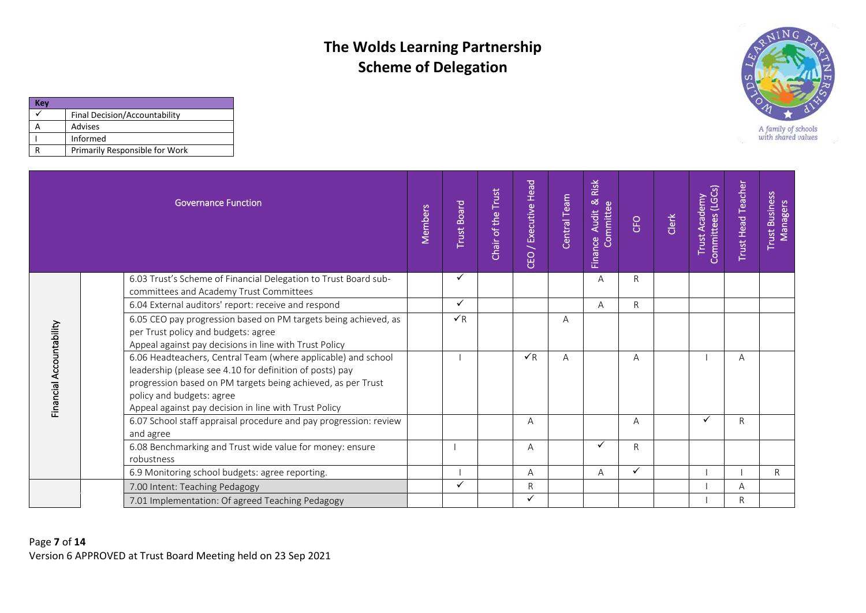

| (ev |                                |
|-----|--------------------------------|
|     | Final Decision/Accountability  |
|     | Advises                        |
|     | Informed                       |
|     | Primarily Responsible for Work |

|                          | <b>Governance Function</b>                                                                                                                                                                                                                                                      | Members | <b>Trust Board</b> | Trust<br>Chair of the | / Executive Head<br>CEO | Central Team | Risk<br>nce Audit & F<br>Committee<br>Finance | <b>CFO</b>   | Clerk | Trust Academy<br>Committees (LGCs) | <b>Trust Head Teacher</b> | <b>Trust Business</b><br>Managers |
|--------------------------|---------------------------------------------------------------------------------------------------------------------------------------------------------------------------------------------------------------------------------------------------------------------------------|---------|--------------------|-----------------------|-------------------------|--------------|-----------------------------------------------|--------------|-------|------------------------------------|---------------------------|-----------------------------------|
|                          | 6.03 Trust's Scheme of Financial Delegation to Trust Board sub-<br>committees and Academy Trust Committees                                                                                                                                                                      |         | ✓                  |                       |                         |              | A                                             | R            |       |                                    |                           |                                   |
|                          | 6.04 External auditors' report: receive and respond                                                                                                                                                                                                                             |         | ✓                  |                       |                         |              | A                                             | $\mathsf{R}$ |       |                                    |                           |                                   |
| Financial Accountability | 6.05 CEO pay progression based on PM targets being achieved, as<br>per Trust policy and budgets: agree<br>Appeal against pay decisions in line with Trust Policy                                                                                                                |         | $\checkmark$ R     |                       |                         | A            |                                               |              |       |                                    |                           |                                   |
|                          | 6.06 Headteachers, Central Team (where applicable) and school<br>leadership (please see 4.10 for definition of posts) pay<br>progression based on PM targets being achieved, as per Trust<br>policy and budgets: agree<br>Appeal against pay decision in line with Trust Policy |         |                    |                       | $\sqrt{R}$              | A            |                                               | A            |       |                                    | A                         |                                   |
|                          | 6.07 School staff appraisal procedure and pay progression: review<br>and agree                                                                                                                                                                                                  |         |                    |                       | A                       |              |                                               | A            |       | ✓                                  | $\mathsf{R}$              |                                   |
|                          | 6.08 Benchmarking and Trust wide value for money: ensure<br>robustness                                                                                                                                                                                                          |         |                    |                       | A                       |              | ✓                                             | R            |       |                                    |                           |                                   |
|                          | 6.9 Monitoring school budgets: agree reporting.                                                                                                                                                                                                                                 |         |                    |                       | A                       |              | A                                             | ✓            |       |                                    |                           | R.                                |
|                          | 7.00 Intent: Teaching Pedagogy                                                                                                                                                                                                                                                  |         | ✓                  |                       | R                       |              |                                               |              |       |                                    | A                         |                                   |
|                          | 7.01 Implementation: Of agreed Teaching Pedagogy                                                                                                                                                                                                                                |         |                    |                       |                         |              |                                               |              |       |                                    | $\mathsf{R}$              |                                   |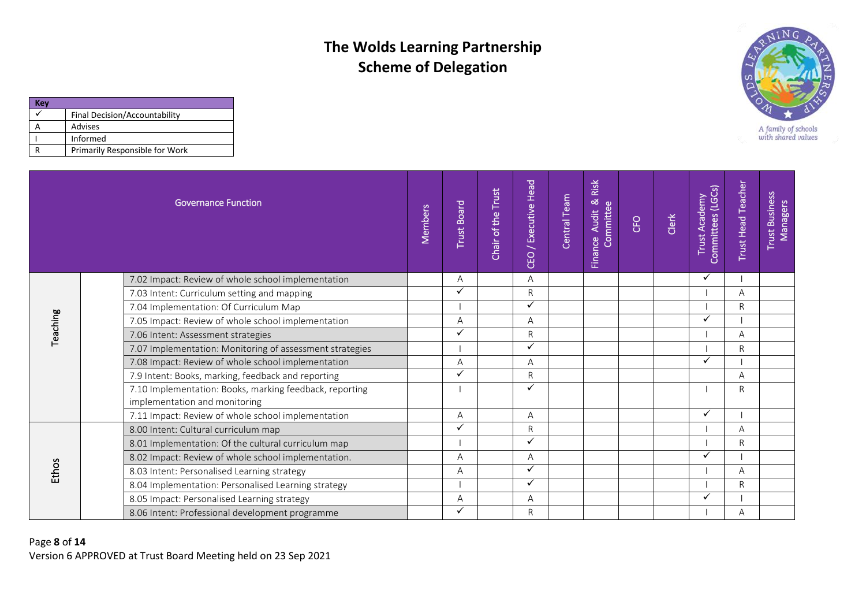

| Kev |                                |
|-----|--------------------------------|
|     | Final Decision/Accountability  |
|     | Advises                        |
|     | Informed                       |
|     | Primarily Responsible for Work |

|          | <b>Governance Function</b>                                                               | Members | <b>Trust Board</b> | Trust<br>Chair of the | CEO / Executive Head | Central Team | Risk<br><b>∝</b><br>nce Audit &<br>Committee<br><b>Finance</b> | <b>CFO</b> | Clerk | Committees (LGCs)<br>Trust Academy | <b>Trust Head Teacher</b> | Trust Business<br>Managers |
|----------|------------------------------------------------------------------------------------------|---------|--------------------|-----------------------|----------------------|--------------|----------------------------------------------------------------|------------|-------|------------------------------------|---------------------------|----------------------------|
|          | 7.02 Impact: Review of whole school implementation                                       |         | A                  |                       | $\overline{A}$       |              |                                                                |            |       |                                    |                           |                            |
|          | 7.03 Intent: Curriculum setting and mapping                                              |         |                    |                       | $\mathsf{R}$         |              |                                                                |            |       |                                    | A                         |                            |
|          | 7.04 Implementation: Of Curriculum Map                                                   |         |                    |                       | $\checkmark$         |              |                                                                |            |       |                                    | R                         |                            |
| Teaching | 7.05 Impact: Review of whole school implementation                                       |         | A                  |                       | $\overline{A}$       |              |                                                                |            |       | ✓                                  |                           |                            |
|          | 7.06 Intent: Assessment strategies                                                       |         | ✓                  |                       | $\mathsf{R}$         |              |                                                                |            |       |                                    | A                         |                            |
|          | 7.07 Implementation: Monitoring of assessment strategies                                 |         |                    |                       | $\checkmark$         |              |                                                                |            |       |                                    | R                         |                            |
|          | 7.08 Impact: Review of whole school implementation                                       |         | А                  |                       | Α                    |              |                                                                |            |       |                                    |                           |                            |
|          | 7.9 Intent: Books, marking, feedback and reporting                                       |         | ✓                  |                       | $\mathsf{R}$         |              |                                                                |            |       |                                    | A                         |                            |
|          | 7.10 Implementation: Books, marking feedback, reporting<br>implementation and monitoring |         |                    |                       | ✓                    |              |                                                                |            |       |                                    | R                         |                            |
|          | 7.11 Impact: Review of whole school implementation                                       |         | A                  |                       | $\overline{A}$       |              |                                                                |            |       | ✓                                  |                           |                            |
|          | 8.00 Intent: Cultural curriculum map                                                     |         |                    |                       | $\mathsf{R}$         |              |                                                                |            |       |                                    | A                         |                            |
|          | 8.01 Implementation: Of the cultural curriculum map                                      |         |                    |                       | ✓                    |              |                                                                |            |       |                                    | R.                        |                            |
|          | 8.02 Impact: Review of whole school implementation.                                      |         | А                  |                       | A                    |              |                                                                |            |       |                                    |                           |                            |
| Ethos    | 8.03 Intent: Personalised Learning strategy                                              |         | А                  |                       | ✓                    |              |                                                                |            |       |                                    | А                         |                            |
|          | 8.04 Implementation: Personalised Learning strategy                                      |         |                    |                       | $\checkmark$         |              |                                                                |            |       |                                    | R                         |                            |
|          | 8.05 Impact: Personalised Learning strategy                                              |         | A                  |                       | Α                    |              |                                                                |            |       | ✓                                  |                           |                            |
|          | 8.06 Intent: Professional development programme                                          |         |                    |                       | R                    |              |                                                                |            |       |                                    | A                         |                            |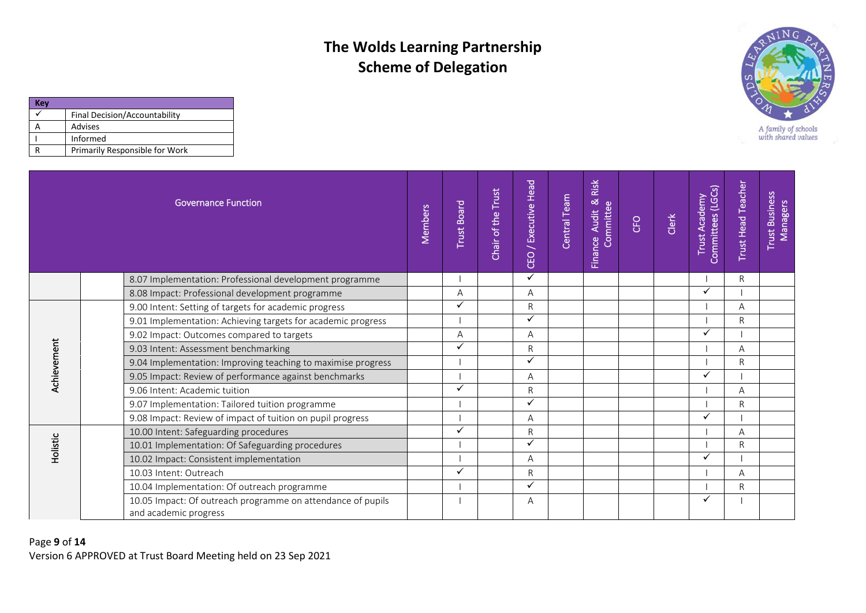

| (ev |                                |
|-----|--------------------------------|
|     | Final Decision/Accountability  |
|     | Advises                        |
|     | Informed                       |
|     | Primarily Responsible for Work |

|             | <b>Governance Function</b>                                                           | Members | <b>Trust Board</b> | Trust<br>Chair of the | CEO / Executive Head | Central Team | Risk<br><b>∝</b><br>Committee<br><b>Audit</b><br>Finance | CFO | Clerk | Committees (LGCs)<br>Trust Academy | <b>Trust Head Teacher</b> | <b>Trust Business</b><br>Managers |
|-------------|--------------------------------------------------------------------------------------|---------|--------------------|-----------------------|----------------------|--------------|----------------------------------------------------------|-----|-------|------------------------------------|---------------------------|-----------------------------------|
|             | 8.07 Implementation: Professional development programme                              |         |                    |                       | ✓                    |              |                                                          |     |       |                                    | R                         |                                   |
|             | 8.08 Impact: Professional development programme                                      |         | A                  |                       | A                    |              |                                                          |     |       |                                    |                           |                                   |
|             | 9.00 Intent: Setting of targets for academic progress                                |         |                    |                       | $\mathsf{R}$         |              |                                                          |     |       |                                    | Α                         |                                   |
|             | 9.01 Implementation: Achieving targets for academic progress                         |         |                    |                       | ✓                    |              |                                                          |     |       |                                    | R                         |                                   |
| Achievement | 9.02 Impact: Outcomes compared to targets                                            |         | A                  |                       | A                    |              |                                                          |     |       |                                    |                           |                                   |
|             | 9.03 Intent: Assessment benchmarking                                                 |         | $\checkmark$       |                       | $\mathsf{R}$         |              |                                                          |     |       |                                    | A                         |                                   |
|             | 9.04 Implementation: Improving teaching to maximise progress                         |         |                    |                       | ✓                    |              |                                                          |     |       |                                    | R                         |                                   |
|             | 9.05 Impact: Review of performance against benchmarks                                |         |                    |                       | A                    |              |                                                          |     |       | ✓                                  |                           |                                   |
|             | 9.06 Intent: Academic tuition                                                        |         |                    |                       | $\mathsf{R}$         |              |                                                          |     |       |                                    | А                         |                                   |
|             | 9.07 Implementation: Tailored tuition programme                                      |         |                    |                       | ✓                    |              |                                                          |     |       |                                    | R                         |                                   |
|             | 9.08 Impact: Review of impact of tuition on pupil progress                           |         |                    |                       | A                    |              |                                                          |     |       |                                    |                           |                                   |
|             | 10.00 Intent: Safeguarding procedures                                                |         |                    |                       | $\mathsf{R}$         |              |                                                          |     |       |                                    | A                         |                                   |
|             | 10.01 Implementation: Of Safeguarding procedures                                     |         |                    |                       | ✓                    |              |                                                          |     |       |                                    | R                         |                                   |
| Holistic    | 10.02 Impact: Consistent implementation                                              |         |                    |                       | A                    |              |                                                          |     |       |                                    |                           |                                   |
|             | 10.03 Intent: Outreach                                                               |         |                    |                       | $\mathsf{R}$         |              |                                                          |     |       |                                    | A                         |                                   |
|             | 10.04 Implementation: Of outreach programme                                          |         |                    |                       | ✓                    |              |                                                          |     |       |                                    | R                         |                                   |
|             | 10.05 Impact: Of outreach programme on attendance of pupils<br>and academic progress |         |                    |                       | Α                    |              |                                                          |     |       |                                    |                           |                                   |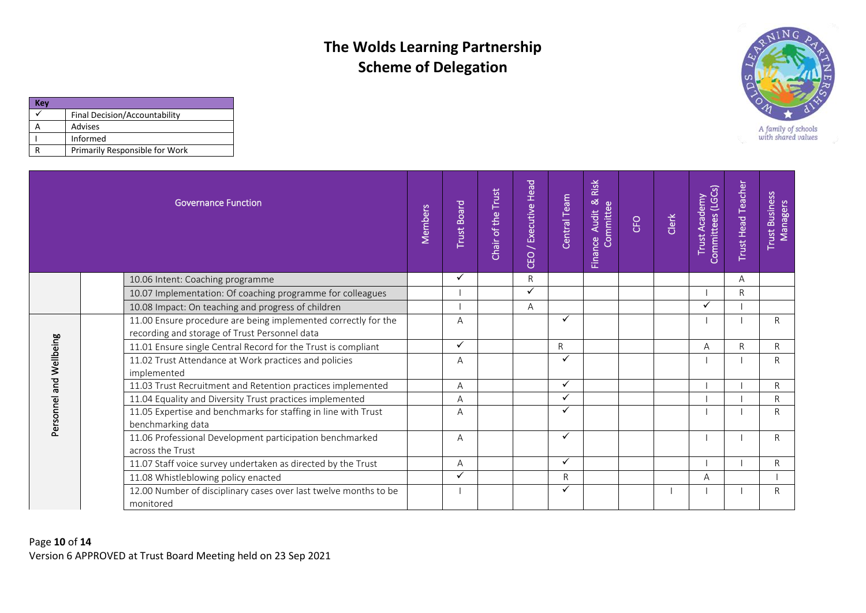

| <b>Tev</b> |                                |
|------------|--------------------------------|
|            | Final Decision/Accountability  |
|            | Advises                        |
|            | Informed                       |
|            | Primarily Responsible for Work |

|                         | <b>Governance Function</b>                                                                                      | Members | <b>Trust Board</b> | <b>Trust</b><br>Chair of the | / Executive Head<br>CEO | Central Team | Risk<br>Finance Audit & F<br><b>Audit</b> | <b>CFO</b> | Clerk | Committees (LGCs)<br>Trust Academy | <b>Trust Head Teacher</b> | <b>Trust Business</b><br>Managers |
|-------------------------|-----------------------------------------------------------------------------------------------------------------|---------|--------------------|------------------------------|-------------------------|--------------|-------------------------------------------|------------|-------|------------------------------------|---------------------------|-----------------------------------|
|                         | 10.06 Intent: Coaching programme                                                                                |         | ✓                  |                              | $\mathsf{R}$            |              |                                           |            |       |                                    | Α                         |                                   |
|                         | 10.07 Implementation: Of coaching programme for colleagues                                                      |         |                    |                              | ✓                       |              |                                           |            |       |                                    | R                         |                                   |
|                         | 10.08 Impact: On teaching and progress of children                                                              |         |                    |                              | A                       |              |                                           |            |       | ✓                                  |                           |                                   |
|                         | 11.00 Ensure procedure are being implemented correctly for the<br>recording and storage of Trust Personnel data |         | A                  |                              |                         | ✓            |                                           |            |       |                                    |                           | $\mathsf{R}$                      |
|                         | 11.01 Ensure single Central Record for the Trust is compliant                                                   |         | ✓                  |                              |                         | $\mathsf{R}$ |                                           |            |       | A                                  | R                         | R                                 |
| Personnel and Wellbeing | 11.02 Trust Attendance at Work practices and policies<br>implemented                                            |         | A                  |                              |                         | ✓            |                                           |            |       |                                    |                           | R                                 |
|                         | 11.03 Trust Recruitment and Retention practices implemented                                                     |         | A                  |                              |                         | ✓            |                                           |            |       |                                    |                           | $\mathsf{R}$                      |
|                         | 11.04 Equality and Diversity Trust practices implemented                                                        |         | A                  |                              |                         | ✓            |                                           |            |       |                                    |                           | R                                 |
|                         | 11.05 Expertise and benchmarks for staffing in line with Trust<br>benchmarking data                             |         | A                  |                              |                         | ✓            |                                           |            |       |                                    |                           | R                                 |
|                         | 11.06 Professional Development participation benchmarked<br>across the Trust                                    |         | A                  |                              |                         | ✓            |                                           |            |       |                                    |                           | R.                                |
|                         | 11.07 Staff voice survey undertaken as directed by the Trust                                                    |         | A                  |                              |                         | ✓            |                                           |            |       |                                    |                           | $\mathsf{R}$                      |
|                         | 11.08 Whistleblowing policy enacted                                                                             |         |                    |                              |                         | $\mathsf{R}$ |                                           |            |       | A                                  |                           |                                   |
|                         | 12.00 Number of disciplinary cases over last twelve months to be<br>monitored                                   |         |                    |                              |                         | ✓            |                                           |            |       |                                    |                           | $\mathsf{R}$                      |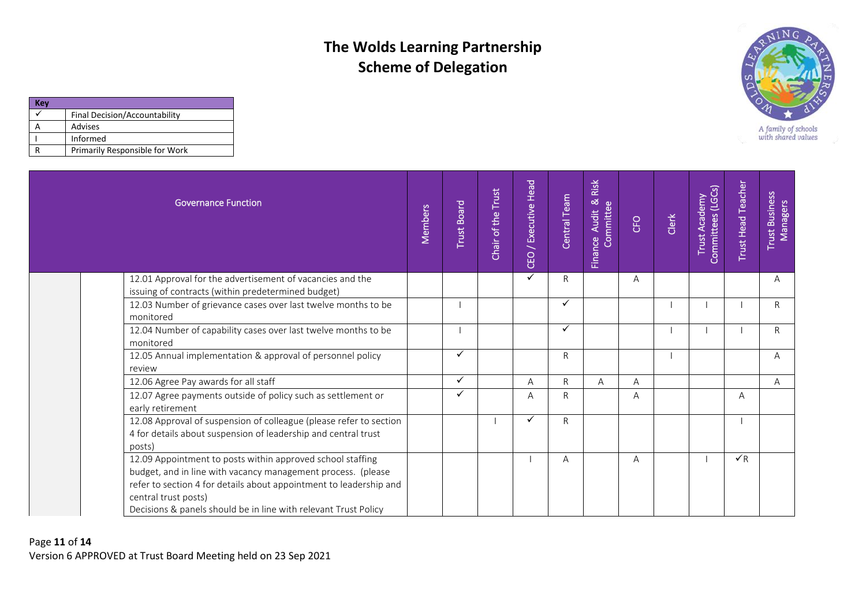

| Kev |                                |
|-----|--------------------------------|
|     | Final Decision/Accountability  |
|     | Advises                        |
|     | Informed                       |
|     | Primarily Responsible for Work |

| Governance Function                                                                                                                                                                                                                                                                         | Members | <b>Trust Board</b> | Chair of the Trust | CEO / Executive Head | Central Team | Risk<br>Finance Audit & F | <b>CFO</b> | Clerk | Committees (LGCs)<br>Trust Academy | <b>Trust Head Teacher</b> | Trust Business<br>Managers |
|---------------------------------------------------------------------------------------------------------------------------------------------------------------------------------------------------------------------------------------------------------------------------------------------|---------|--------------------|--------------------|----------------------|--------------|---------------------------|------------|-------|------------------------------------|---------------------------|----------------------------|
| 12.01 Approval for the advertisement of vacancies and the<br>issuing of contracts (within predetermined budget)                                                                                                                                                                             |         |                    |                    | $\checkmark$         | $\mathsf{R}$ |                           | A          |       |                                    |                           | A                          |
| 12.03 Number of grievance cases over last twelve months to be<br>monitored                                                                                                                                                                                                                  |         |                    |                    |                      | ✓            |                           |            |       |                                    |                           | $\mathsf{R}$               |
| 12.04 Number of capability cases over last twelve months to be<br>monitored                                                                                                                                                                                                                 |         |                    |                    |                      | ✓            |                           |            |       |                                    |                           | $\mathsf{R}$               |
| 12.05 Annual implementation & approval of personnel policy<br>review                                                                                                                                                                                                                        |         | $\checkmark$       |                    |                      | $\mathsf{R}$ |                           |            |       |                                    |                           | A                          |
| 12.06 Agree Pay awards for all staff                                                                                                                                                                                                                                                        |         | ✓                  |                    | Α                    | $\mathsf{R}$ | A                         | A          |       |                                    |                           | $\mathsf{A}$               |
| 12.07 Agree payments outside of policy such as settlement or<br>early retirement                                                                                                                                                                                                            |         | ✓                  |                    | Α                    | R            |                           | A          |       |                                    | A                         |                            |
| 12.08 Approval of suspension of colleague (please refer to section<br>4 for details about suspension of leadership and central trust<br>posts)                                                                                                                                              |         |                    |                    | ✓                    | R            |                           |            |       |                                    |                           |                            |
| 12.09 Appointment to posts within approved school staffing<br>budget, and in line with vacancy management process. (please<br>refer to section 4 for details about appointment to leadership and<br>central trust posts)<br>Decisions & panels should be in line with relevant Trust Policy |         |                    |                    |                      | Α            |                           | A          |       |                                    | $\sqrt{R}$                |                            |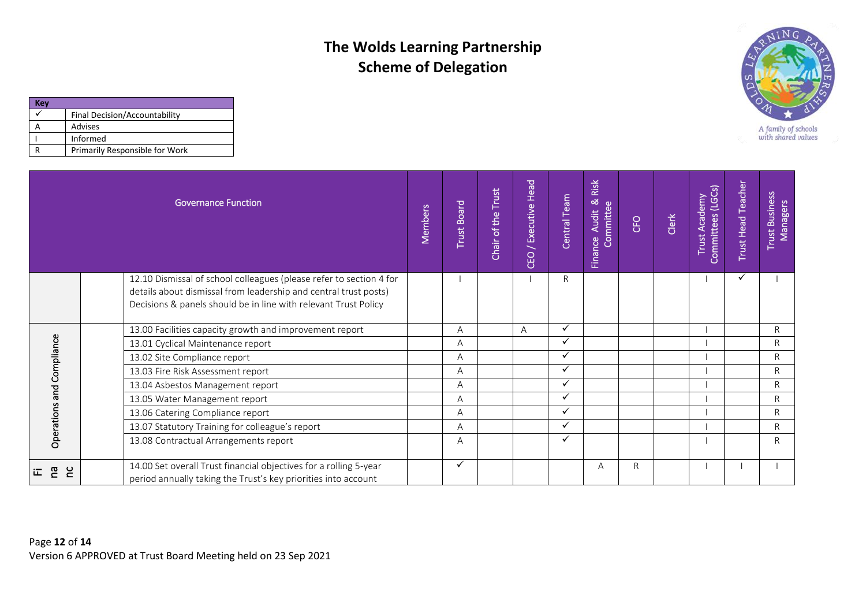

| Kev |                                |
|-----|--------------------------------|
|     | Final Decision/Accountability  |
|     | Advises                        |
|     | Informed                       |
|     | Primarily Responsible for Work |

|                           |             |  | <b>Governance Function</b>                                                                                                                                                                                 | Members | <b>Trust Board</b> | Chair of the Trust | / Executive Head<br>CEO | Central Team | Risk<br>nce Audit & F<br>Committee<br><b>Finance</b> | <b>CFO</b> | Clerk | Trust Academy<br>Committees (LGCs) | <b>Trust Head Teacher</b> | <b>Trust Business</b><br>Managers |
|---------------------------|-------------|--|------------------------------------------------------------------------------------------------------------------------------------------------------------------------------------------------------------|---------|--------------------|--------------------|-------------------------|--------------|------------------------------------------------------|------------|-------|------------------------------------|---------------------------|-----------------------------------|
|                           |             |  | 12.10 Dismissal of school colleagues (please refer to section 4 for<br>details about dismissal from leadership and central trust posts)<br>Decisions & panels should be in line with relevant Trust Policy |         |                    |                    |                         | R            |                                                      |            |       |                                    |                           |                                   |
|                           |             |  | 13.00 Facilities capacity growth and improvement report                                                                                                                                                    |         | A                  |                    | A                       | ✓            |                                                      |            |       |                                    |                           | $\mathsf{R}$                      |
|                           |             |  | 13.01 Cyclical Maintenance report                                                                                                                                                                          |         | A                  |                    |                         | ✓            |                                                      |            |       |                                    |                           | $\mathsf{R}$                      |
|                           |             |  | 13.02 Site Compliance report                                                                                                                                                                               |         | A                  |                    |                         | ✓            |                                                      |            |       |                                    |                           | R                                 |
|                           |             |  | 13.03 Fire Risk Assessment report                                                                                                                                                                          |         | A                  |                    |                         | ✓            |                                                      |            |       |                                    |                           | $\mathsf{R}$                      |
|                           |             |  | 13.04 Asbestos Management report                                                                                                                                                                           |         | Α                  |                    |                         | ✓            |                                                      |            |       |                                    |                           | $\mathsf{R}$                      |
|                           |             |  | 13.05 Water Management report                                                                                                                                                                              |         | A                  |                    |                         | ✓            |                                                      |            |       |                                    |                           | $\mathsf{R}$                      |
|                           |             |  | 13.06 Catering Compliance report                                                                                                                                                                           |         | A                  |                    |                         | ✓            |                                                      |            |       |                                    |                           | $\mathsf{R}$                      |
|                           |             |  | 13.07 Statutory Training for colleague's report                                                                                                                                                            |         | A                  |                    |                         | ✓            |                                                      |            |       |                                    |                           | $\mathsf{R}$                      |
| Operations and Compliance |             |  | 13.08 Contractual Arrangements report                                                                                                                                                                      |         | A                  |                    |                         | ✓            |                                                      |            |       |                                    |                           | $\mathsf{R}$                      |
| <b>P</b><br>江             | $\tilde{c}$ |  | 14.00 Set overall Trust financial objectives for a rolling 5-year<br>period annually taking the Trust's key priorities into account                                                                        |         | ✓                  |                    |                         |              | Α                                                    | R.         |       |                                    |                           |                                   |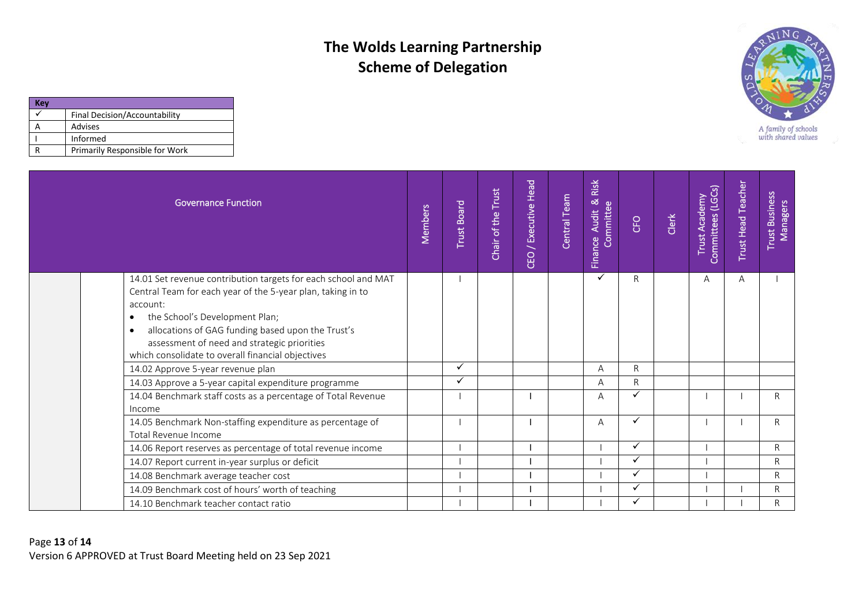

| <b>Key</b> |                                |
|------------|--------------------------------|
|            | Final Decision/Accountability  |
|            | Advises                        |
|            | Informed                       |
|            | Primarily Responsible for Work |

| <b>Governance Function</b>                                                                                                                                                                                                                                                                                                                                     | Members | <b>Trust Board</b> | Chair of the Trust | <b>CEO</b> / Executive Head | Central Team | Risk<br>Finance Audit & F | CFO | Clerk | Committees (LGCs)<br>Trust Academy | <b>Trust Head Teacher</b> | <b>Trust Business</b><br><b>Managers</b> |
|----------------------------------------------------------------------------------------------------------------------------------------------------------------------------------------------------------------------------------------------------------------------------------------------------------------------------------------------------------------|---------|--------------------|--------------------|-----------------------------|--------------|---------------------------|-----|-------|------------------------------------|---------------------------|------------------------------------------|
| 14.01 Set revenue contribution targets for each school and MAT<br>Central Team for each year of the 5-year plan, taking in to<br>account:<br>the School's Development Plan;<br>$\bullet$<br>allocations of GAG funding based upon the Trust's<br>$\bullet$<br>assessment of need and strategic priorities<br>which consolidate to overall financial objectives |         |                    |                    |                             |              | ✓                         | R   |       | A                                  | A                         |                                          |
| 14.02 Approve 5-year revenue plan                                                                                                                                                                                                                                                                                                                              |         |                    |                    |                             |              | А                         | R   |       |                                    |                           |                                          |
| 14.03 Approve a 5-year capital expenditure programme                                                                                                                                                                                                                                                                                                           |         |                    |                    |                             |              | A                         | R.  |       |                                    |                           |                                          |
| 14.04 Benchmark staff costs as a percentage of Total Revenue<br>Income                                                                                                                                                                                                                                                                                         |         |                    |                    |                             |              | Α                         | ✓   |       |                                    |                           | $\mathsf{R}$                             |
| 14.05 Benchmark Non-staffing expenditure as percentage of<br>Total Revenue Income                                                                                                                                                                                                                                                                              |         |                    |                    |                             |              | A                         | ✓   |       |                                    |                           | R                                        |
| 14.06 Report reserves as percentage of total revenue income                                                                                                                                                                                                                                                                                                    |         |                    |                    |                             |              |                           | ✓   |       |                                    |                           | $\mathsf{R}$                             |
| 14.07 Report current in-year surplus or deficit                                                                                                                                                                                                                                                                                                                |         |                    |                    |                             |              |                           | ✓   |       |                                    |                           | $\mathsf{R}$                             |
| 14.08 Benchmark average teacher cost                                                                                                                                                                                                                                                                                                                           |         |                    |                    |                             |              |                           | ✓   |       |                                    |                           | $\mathsf{R}$                             |
| 14.09 Benchmark cost of hours' worth of teaching                                                                                                                                                                                                                                                                                                               |         |                    |                    |                             |              |                           | ✓   |       |                                    |                           | R                                        |
| 14.10 Benchmark teacher contact ratio                                                                                                                                                                                                                                                                                                                          |         |                    |                    |                             |              |                           | ✓   |       |                                    |                           | $\mathsf{R}$                             |